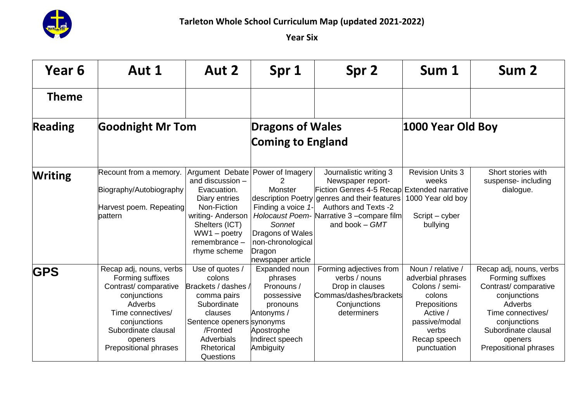

| Year 6         | Aut 1                                                                                                                                                                                          | Aut 2                                                                                                                                                                       | Spr 1                                                                                                                               | Spr 2                                                                                                                                                                                                                                       | Sum 1                                                                                                                                                          | Sum 2                                                                                                                                                                                                 |
|----------------|------------------------------------------------------------------------------------------------------------------------------------------------------------------------------------------------|-----------------------------------------------------------------------------------------------------------------------------------------------------------------------------|-------------------------------------------------------------------------------------------------------------------------------------|---------------------------------------------------------------------------------------------------------------------------------------------------------------------------------------------------------------------------------------------|----------------------------------------------------------------------------------------------------------------------------------------------------------------|-------------------------------------------------------------------------------------------------------------------------------------------------------------------------------------------------------|
| <b>Theme</b>   |                                                                                                                                                                                                |                                                                                                                                                                             |                                                                                                                                     |                                                                                                                                                                                                                                             |                                                                                                                                                                |                                                                                                                                                                                                       |
| <b>Reading</b> | <b>Goodnight Mr Tom</b>                                                                                                                                                                        |                                                                                                                                                                             | <b>Dragons of Wales</b>                                                                                                             |                                                                                                                                                                                                                                             | 1000 Year Old Boy                                                                                                                                              |                                                                                                                                                                                                       |
|                |                                                                                                                                                                                                |                                                                                                                                                                             | <b>Coming to England</b>                                                                                                            |                                                                                                                                                                                                                                             |                                                                                                                                                                |                                                                                                                                                                                                       |
| <b>Writing</b> | Recount from a memory.<br>Biography/Autobiography<br>Harvest poem. Repeating<br>pattern                                                                                                        | Argument Debate<br>and discussion -<br>Evacuation.<br>Diary entries<br>Non-Fiction<br>writing- Anderson<br>Shelters (ICT)<br>WW1 - poetry<br>remembrance -<br>rhyme scheme  | Power of Imagery<br>Monster<br>Finding a voice 1-<br>Sonnet<br>Dragons of Wales<br>non-chronological<br>Dragon<br>newspaper article | Journalistic writing 3<br>Newspaper report-<br>Fiction Genres 4-5 Recap Extended narrative<br>description Poetry genres and their features<br><b>Authors and Texts -2</b><br>Holocaust Poem- Narrative 3 - compare film<br>and book $-$ GMT | <b>Revision Units 3</b><br>weeks<br>1000 Year old boy<br>Script – cyber<br>bullying                                                                            | Short stories with<br>suspense- including<br>dialogue.                                                                                                                                                |
| <b>GPS</b>     | Recap adj, nouns, verbs<br>Forming suffixes<br>Contrast/comparative<br>conjunctions<br>Adverbs<br>Time connectives/<br>conjunctions<br>Subordinate clausal<br>openers<br>Prepositional phrases | Use of quotes /<br>colons<br>Brackets / dashes /<br>comma pairs<br>Subordinate<br>clauses<br>Sentence openers synonyms<br>/Fronted<br>Adverbials<br>Rhetorical<br>Questions | Expanded noun<br>phrases<br>Pronouns /<br>possessive<br>pronouns<br>Antonyms /<br>Apostrophe<br>Indirect speech<br>Ambiguity        | Forming adjectives from<br>verbs / nouns<br>Drop in clauses<br>Commas/dashes/brackets<br>Conjunctions<br>determiners                                                                                                                        | Noun / relative /<br>adverbial phrases<br>Colons / semi-<br>colons<br><b>Prepositions</b><br>Active /<br>passive/modal<br>verbs<br>Recap speech<br>punctuation | Recap adj, nouns, verbs<br>Forming suffixes<br>Contrast/comparative<br>conjunctions<br>Adverbs<br>Time connectives/<br>conjunctions<br>Subordinate clausal<br>openers<br><b>Prepositional phrases</b> |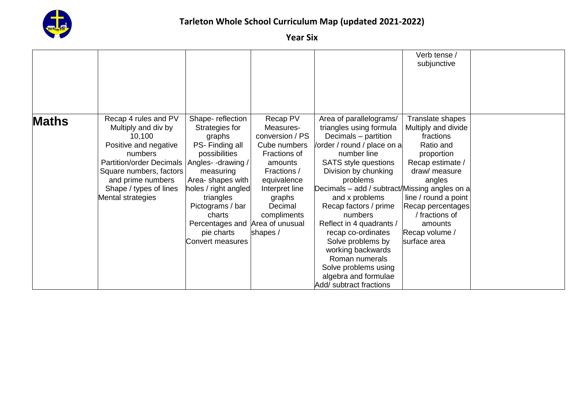

|              |                                               |                      |                 |                                               | Verb tense /         |  |
|--------------|-----------------------------------------------|----------------------|-----------------|-----------------------------------------------|----------------------|--|
|              |                                               |                      |                 |                                               | subjunctive          |  |
|              |                                               |                      |                 |                                               |                      |  |
|              |                                               |                      |                 |                                               |                      |  |
|              |                                               |                      |                 |                                               |                      |  |
|              |                                               |                      |                 |                                               |                      |  |
| <b>Maths</b> | Recap 4 rules and PV                          | Shape-reflection     | Recap PV        | Area of parallelograms/                       | Translate shapes     |  |
|              | Multiply and div by                           | Strategies for       | Measures-       | triangles using formula                       | Multiply and divide  |  |
|              | 10,100                                        | graphs               | conversion / PS | Decimals - partition                          | fractions            |  |
|              | Positive and negative                         | PS-Finding all       | Cube numbers    | /order / round / place on a                   | Ratio and            |  |
|              | numbers                                       | possibilities        | Fractions of    | number line                                   | proportion           |  |
|              | Partition/order Decimals   Angles- -drawing / |                      | amounts         | <b>SATS</b> style questions                   | Recap estimate /     |  |
|              | Square numbers, factors                       | measuring            | Fractions /     | Division by chunking                          | draw/ measure        |  |
|              | and prime numbers                             | Area- shapes with    | equivalence     | problems                                      | angles               |  |
|              | Shape / types of lines                        | holes / right angled | Interpret line  | Decimals – add / subtract/Missing angles on a |                      |  |
|              | Mental strategies                             | triangles            | graphs          | and x problems                                | line / round a point |  |
|              |                                               | Pictograms / bar     | Decimal         | Recap factors / prime                         | Recap percentages    |  |
|              |                                               | charts               | compliments     | numbers                                       | / fractions of       |  |
|              |                                               | Percentages and      | Area of unusual | Reflect in 4 quadrants /                      | amounts              |  |
|              |                                               | pie charts           | shapes /        | recap co-ordinates                            | Recap volume /       |  |
|              |                                               | Convert measures     |                 | Solve problems by                             | surface area         |  |
|              |                                               |                      |                 | working backwards                             |                      |  |
|              |                                               |                      |                 | Roman numerals                                |                      |  |
|              |                                               |                      |                 | Solve problems using                          |                      |  |
|              |                                               |                      |                 | algebra and formulae                          |                      |  |
|              |                                               |                      |                 | Add/ subtract fractions                       |                      |  |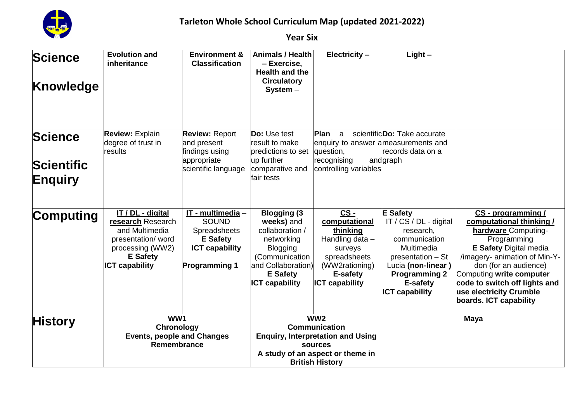

| <b>Science</b><br>Knowledge                    | <b>Evolution and</b><br>inheritance                                                                                                           | <b>Environment &amp;</b><br><b>Classification</b>                                                                            | <b>Animals / Health</b><br>– Exercise,<br><b>Health and the</b><br><b>Circulatory</b><br>$System -$                                                                       | Electricity -                                                                                                                                                | $Light -$                                                                                                                                                                                     |                                                                                                                                                                                                                                                                                                   |
|------------------------------------------------|-----------------------------------------------------------------------------------------------------------------------------------------------|------------------------------------------------------------------------------------------------------------------------------|---------------------------------------------------------------------------------------------------------------------------------------------------------------------------|--------------------------------------------------------------------------------------------------------------------------------------------------------------|-----------------------------------------------------------------------------------------------------------------------------------------------------------------------------------------------|---------------------------------------------------------------------------------------------------------------------------------------------------------------------------------------------------------------------------------------------------------------------------------------------------|
| <b>Science</b><br><b>Scientific</b><br>Enquiry | <b>Review: Explain</b><br>degree of trust in<br>results                                                                                       | <b>Review: Report</b><br>and present<br>findings using<br>appropriate<br>scientific language                                 | <b>Do:</b> Use test<br>result to make<br>predictions to set<br>up further<br>comparative and<br>fair tests                                                                | <b>Plan</b><br>a<br>enquiry to answer a measurements and<br>question,<br>recognising<br>controlling variables                                                | scientificDo: Take accurate<br>lrecords data on a<br>andgraph                                                                                                                                 |                                                                                                                                                                                                                                                                                                   |
| <b>Computing</b>                               | IT / DL - digital<br>research Research<br>and Multimedia<br>presentation/word<br>processing (WW2)<br><b>E</b> Safety<br><b>ICT capability</b> | IT - multimedia -<br><b>SOUND</b><br><b>Spreadsheets</b><br><b>E</b> Safety<br><b>ICT capability</b><br><b>Programming 1</b> | <b>Blogging (3)</b><br>weeks) and<br>collaboration /<br>networking<br><b>Blogging</b><br>(Communication<br>and Collaboration)<br><b>E</b> Safety<br><b>ICT capability</b> | CS-<br>computational<br>thinking<br>Handling data -<br>surveys<br>spreadsheets<br>(WW2rationing)<br>E-safety<br><b>ICT capability</b>                        | <b>E</b> Safety<br>IT / CS / DL - digital<br>research,<br>communication<br>Multimedia<br>presentation - St<br>Lucia (non-linear)<br><b>Programming 2</b><br>E-safety<br><b>ICT capability</b> | CS - programming /<br>computational thinking /<br>hardware Computing-<br>Programming<br><b>E Safety Digital media</b><br>/imagery- animation of Min-Y-<br>don (for an audience)<br>Computing write computer<br>code to switch off lights and<br>use electricity Crumble<br>boards. ICT capability |
| History                                        | WW1<br>Chronology<br><b>Events, people and Changes</b><br>Remembrance                                                                         |                                                                                                                              |                                                                                                                                                                           | WW <sub>2</sub><br><b>Communication</b><br><b>Enquiry, Interpretation and Using</b><br>sources<br>A study of an aspect or theme in<br><b>British History</b> |                                                                                                                                                                                               | <b>Maya</b>                                                                                                                                                                                                                                                                                       |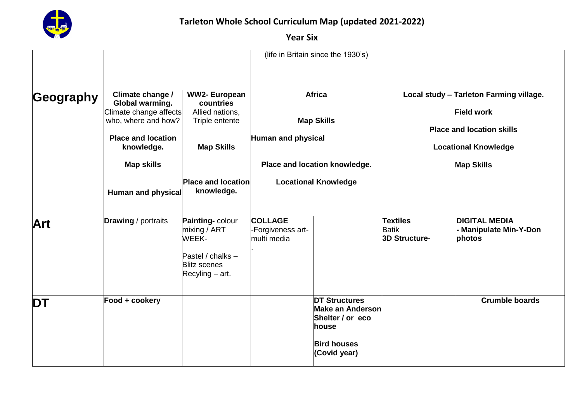

|           |                                                                                          |                                                                                                                    | (life in Britain since the 1930's)                                              |                                                                                                                           |                                                                                                           |                                                               |
|-----------|------------------------------------------------------------------------------------------|--------------------------------------------------------------------------------------------------------------------|---------------------------------------------------------------------------------|---------------------------------------------------------------------------------------------------------------------------|-----------------------------------------------------------------------------------------------------------|---------------------------------------------------------------|
| Geography | Climate change /<br>Global warming.                                                      | <b>WW2-European</b><br>countries                                                                                   |                                                                                 | <b>Africa</b>                                                                                                             | Local study - Tarleton Farming village.                                                                   |                                                               |
|           | Climate change affects<br>who, where and how?<br><b>Place and location</b><br>knowledge. | Allied nations,<br>Triple entente<br><b>Map Skills</b>                                                             | <b>Map Skills</b><br><b>Human and physical</b><br>Place and location knowledge. |                                                                                                                           | <b>Field work</b><br><b>Place and location skills</b><br><b>Locational Knowledge</b><br><b>Map Skills</b> |                                                               |
|           | <b>Map skills</b>                                                                        |                                                                                                                    |                                                                                 |                                                                                                                           |                                                                                                           |                                                               |
|           | Human and physical                                                                       | <b>Place and location</b><br>knowledge.                                                                            |                                                                                 | <b>Locational Knowledge</b>                                                                                               |                                                                                                           |                                                               |
| Art       | <b>Drawing</b> / portraits                                                               | Painting-colour<br>mixing / ART<br><b>WEEK-</b><br>Pastel / chalks $-$<br><b>Blitz scenes</b><br>$Recpling - art.$ | <b>COLLAGE</b><br>-Forgiveness art-<br>multi media                              |                                                                                                                           | <b>Textiles</b><br><b>Batik</b><br><b>3D Structure-</b>                                                   | <b>DIGITAL MEDIA</b><br><b>Manipulate Min-Y-Don</b><br>photos |
| <b>DT</b> | Food + cookery                                                                           |                                                                                                                    |                                                                                 | <b>DT Structures</b><br><b>Make an Anderson</b><br>Shelter / or eco<br><b>house</b><br><b>Bird houses</b><br>(Covid year) |                                                                                                           | <b>Crumble boards</b>                                         |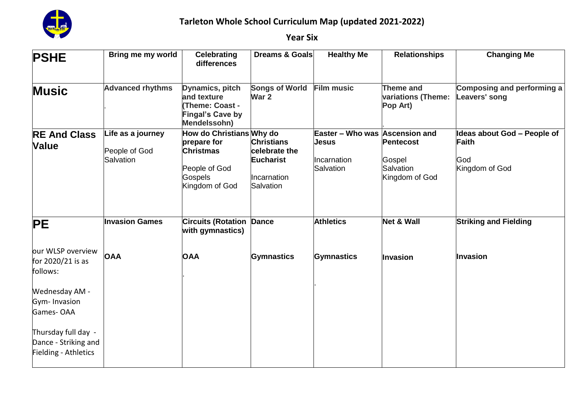

| <b>PSHE</b>                                                         | Bring me my world                  | <b>Celebrating</b><br>differences                                                                   | <b>Dreams &amp; Goals</b>                    | <b>Healthy Me</b>                       | <b>Relationships</b>                        | <b>Changing Me</b>                          |
|---------------------------------------------------------------------|------------------------------------|-----------------------------------------------------------------------------------------------------|----------------------------------------------|-----------------------------------------|---------------------------------------------|---------------------------------------------|
| <b>Music</b>                                                        | <b>Advanced rhythms</b>            | Dynamics, pitch<br>and texture<br><b>(Theme: Coast -</b><br><b>Fingal's Cave by</b><br>Mendelssohn) | <b>Songs of World</b><br>War 2               | <b>Film music</b>                       | Theme and<br>variations (Theme:<br>Pop Art) | Composing and performing a<br>Leavers' song |
| <b>RE And Class</b><br><b>Value</b>                                 | Life as a journey<br>People of God | How do Christians Why do<br>prepare for<br><b>Christmas</b>                                         | <b>Christians</b><br>celebrate the           | Easter - Who was Ascension and<br>Jesus | <b>Pentecost</b>                            | Ideas about God – People of<br><b>Faith</b> |
|                                                                     | Salvation                          | People of God<br>Gospels<br>Kingdom of God                                                          | <b>Eucharist</b><br>Incarnation<br>Salvation | Incarnation<br>Salvation                | Gospel<br>Salvation<br>Kingdom of God       | God<br>Kingdom of God                       |
| <b>PE</b>                                                           | <b>Invasion Games</b>              | <b>Circuits (Rotation</b><br>with gymnastics)                                                       | <b>Dance</b>                                 | <b>Athletics</b>                        | <b>Net &amp; Wall</b>                       | <b>Striking and Fielding</b>                |
| our WLSP overview<br>for 2020/21 is as<br>follows:                  | <b>OAA</b>                         | <b>OAA</b>                                                                                          | <b>Gymnastics</b>                            | <b>Gymnastics</b>                       | <b>Invasion</b>                             | <b>Invasion</b>                             |
| Wednesday AM -<br>Gym-Invasion<br>Games-OAA                         |                                    |                                                                                                     |                                              |                                         |                                             |                                             |
| Thursday full day -<br>Dance - Striking and<br>Fielding - Athletics |                                    |                                                                                                     |                                              |                                         |                                             |                                             |